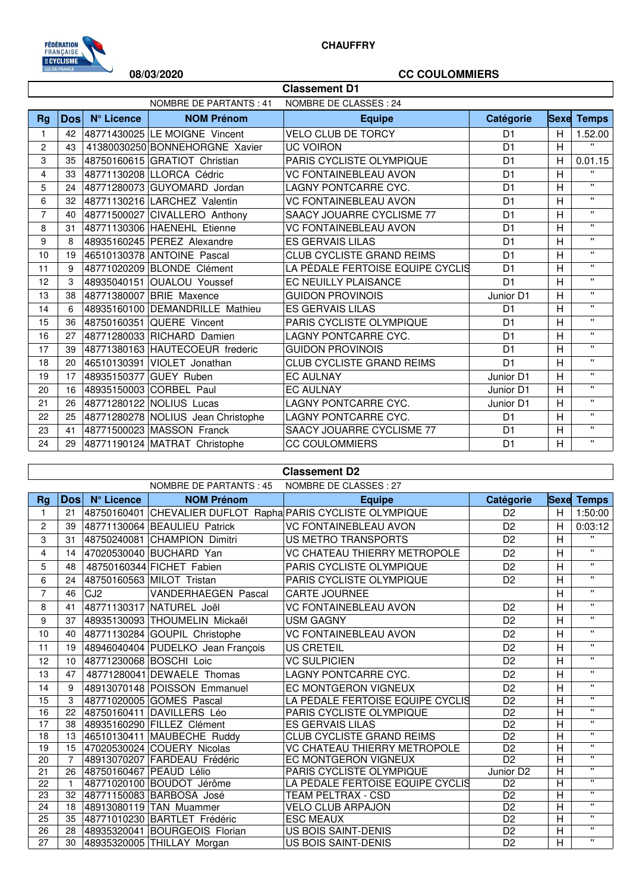

## **08/03/2020 CC COULOMMIERS**

| <b>Classement D1</b> |             |            |                                    |                                  |                |   |                   |
|----------------------|-------------|------------|------------------------------------|----------------------------------|----------------|---|-------------------|
|                      |             |            | <b>NOMBRE DE PARTANTS: 41</b>      | NOMBRE DE CLASSES : 24           |                |   |                   |
| Rg                   | <b>Dosl</b> | N° Licence | <b>NOM Prénom</b>                  | <b>Equipe</b>                    | Catégorie      |   | <b>Sexe Temps</b> |
| 1                    | 42          |            | 48771430025 LE MOIGNE Vincent      | <b>VELO CLUB DE TORCY</b>        | D <sub>1</sub> | H | 1.52.00           |
| 2                    | 43          |            | 41380030250 BONNEHORGNE Xavier     | <b>UC VOIRON</b>                 | D <sub>1</sub> | H | $\mathbf{H}$      |
| 3                    | 35          |            | 48750160615 GRATIOT Christian      | PARIS CYCLISTE OLYMPIQUE         | D <sub>1</sub> | H | 0.01.15           |
| 4                    | 33          |            | 48771130208 LLORCA Cédric          | <b>VC FONTAINEBLEAU AVON</b>     | D <sub>1</sub> | H | $\mathbf{u}$      |
| 5                    | 24          |            | 48771280073 GUYOMARD Jordan        | <b>LAGNY PONTCARRE CYC.</b>      | D <sub>1</sub> | H | $\mathbf{u}$      |
| 6                    | 32          |            | 48771130216 LARCHEZ Valentin       | <b>VC FONTAINEBLEAU AVON</b>     | D <sub>1</sub> | H | $\mathbf{u}$      |
| $\overline{7}$       | 40          |            | 48771500027 CIVALLERO Anthony      | SAACY JOUARRE CYCLISME 77        | D <sub>1</sub> | H | $\mathbf{H}$      |
| 8                    | 31          |            | 48771130306 HAENEHL Etienne        | <b>VC FONTAINEBLEAU AVON</b>     | D <sub>1</sub> | H | $\mathbf{H}$      |
| 9                    | 8           |            | 48935160245 PEREZ Alexandre        | <b>ES GERVAIS LILAS</b>          | D <sub>1</sub> | H | $\mathbf{H}$      |
| 10                   | 19          |            | 46510130378 ANTOINE Pascal         | <b>CLUB CYCLISTE GRAND REIMS</b> | D <sub>1</sub> | H | $\mathbf{H}$      |
| 11                   | 9           |            | 48771020209 BLONDE Clément         | LA PÉDALE FERTOISE EQUIPE CYCLIS | D <sub>1</sub> | H | $\mathbf{H}$      |
| 12                   | 3           |            | 48935040151 OUALOU Youssef         | <b>EC NEUILLY PLAISANCE</b>      | D <sub>1</sub> | H | $\mathbf{H}$      |
| 13                   | 38          |            | 48771380007 BRIE Maxence           | <b>GUIDON PROVINOIS</b>          | Junior D1      | H | $\mathbf{H}$      |
| 14                   | 6           |            | 48935160100 DEMANDRILLE Mathieu    | <b>ES GERVAIS LILAS</b>          | D <sub>1</sub> | H | $\mathbf{H}$      |
| 15                   | 36          |            | 48750160351 QUERE Vincent          | PARIS CYCLISTE OLYMPIQUE         | D <sub>1</sub> | H | $\mathbf{u}$      |
| 16                   | 27          |            | 48771280033 RICHARD Damien         | LAGNY PONTCARRE CYC.             | D <sub>1</sub> | H | $\mathbf{u}$      |
| 17                   | 39          |            | 48771380163 HAUTECOEUR frederic    | <b>GUIDON PROVINOIS</b>          | D <sub>1</sub> | H | $\mathbf{u}$      |
| 18                   | 20          |            | 46510130391 VIOLET Jonathan        | <b>CLUB CYCLISTE GRAND REIMS</b> | D <sub>1</sub> | H | $\mathbf{u}$      |
| 19                   | 17          |            | 48935150377 GUEY Ruben             | <b>EC AULNAY</b>                 | Junior D1      | H | $\mathbf{u}$      |
| 20                   | 16          |            | 48935150003 CORBEL Paul            | <b>EC AULNAY</b>                 | Junior D1      | H | $\mathbf{u}$      |
| 21                   | 26          |            | 48771280122 NOLIUS Lucas           | LAGNY PONTCARRE CYC.             | Junior D1      | H | $\mathbf{H}$      |
| 22                   | 25          |            | 48771280278 NOLIUS Jean Christophe | LAGNY PONTCARRE CYC.             | D <sub>1</sub> | H | $\mathbf{H}$      |
| 23                   | 41          |            | 48771500023 MASSON Franck          | SAACY JOUARRE CYCLISME 77        | D <sub>1</sub> | H | $\mathbf{H}$      |
| 24                   | 29          |            | 48771190124 MATRAT Christophe      | <b>CC COULOMMIERS</b>            | D <sub>1</sub> | H | $\mathbf{H}$      |

| <b>Classement D2</b> |                                                         |                 |                                   |                                                             |                       |                         |                         |  |
|----------------------|---------------------------------------------------------|-----------------|-----------------------------------|-------------------------------------------------------------|-----------------------|-------------------------|-------------------------|--|
|                      | NOMBRE DE CLASSES : 27<br><b>NOMBRE DE PARTANTS: 45</b> |                 |                                   |                                                             |                       |                         |                         |  |
| <b>Rg</b>            | <b>Dosl</b>                                             | N° Licence      | <b>NOM Prénom</b>                 | <b>Equipe</b>                                               | Catégorie             | <b>Sexe</b>             | <b>Temps</b>            |  |
| 1                    | 21                                                      |                 |                                   | 48750160401 CHEVALIER DUFLOT Rapha PARIS CYCLISTE OLYMPIQUE | D <sub>2</sub>        | H                       | 1:50:00                 |  |
| $\overline{c}$       | 39                                                      |                 | 48771130064 BEAULIEU Patrick      | <b>VC FONTAINEBLEAU AVON</b>                                | D <sub>2</sub>        | H                       | 0:03:12                 |  |
| 3                    | 31                                                      |                 | 48750240081 CHAMPION Dimitri      | <b>US METRO TRANSPORTS</b>                                  | D <sub>2</sub>        | $\overline{H}$          | $\mathbf{H}$            |  |
| 4                    | 14                                                      |                 | 47020530040 BUCHARD Yan           | VC CHATEAU THIERRY METROPOLE                                | D <sub>2</sub>        | $\overline{H}$          | $\mathbf{H}$            |  |
| 5                    | 48                                                      |                 | 48750160344 FICHET Fabien         | PARIS CYCLISTE OLYMPIQUE                                    | D <sub>2</sub>        | H                       | $\mathbf{u}$            |  |
| 6                    | 24                                                      |                 | 48750160563 MILOT Tristan         | PARIS CYCLISTE OLYMPIQUE                                    | D <sub>2</sub>        | Η                       | $\mathbf{H}$            |  |
| $\overline{7}$       | 46                                                      | CJ <sub>2</sub> | VANDERHAEGEN Pascal               | <b>CARTE JOURNEE</b>                                        |                       | H                       | $\mathbf{H}$            |  |
| 8                    | 41                                                      |                 | 48771130317 NATUREL Joël          | <b>VC FONTAINEBLEAU AVON</b>                                | D <sub>2</sub>        | H                       | $\mathbf{H}$            |  |
| 9                    | 37                                                      |                 | 48935130093 THOUMELIN Mickaël     | <b>USM GAGNY</b>                                            | D <sub>2</sub>        | H                       | $\mathbf{H}$            |  |
| 10                   | 40                                                      |                 | 48771130284 GOUPIL Christophe     | <b>VC FONTAINEBLEAU AVON</b>                                | D <sub>2</sub>        | $\overline{H}$          | $\mathbf{u}$            |  |
| 11                   | 19                                                      |                 | 48946040404 PUDELKO Jean François | <b>US CRETEIL</b>                                           | D <sub>2</sub>        | H                       | $\mathbf{H}$            |  |
| 12                   | 10                                                      |                 | 48771230068 BOSCHI Loic           | <b>VC SULPICIEN</b>                                         | D <sub>2</sub>        | H                       | $\mathbf{u}$            |  |
| 13                   | 47                                                      |                 | 48771280041 DEWAELE Thomas        | <b>LAGNY PONTCARRE CYC.</b>                                 | D <sub>2</sub>        | H                       | $\mathbf{u}$            |  |
| 14                   | 9                                                       |                 | 48913070148 POISSON Emmanuel      | EC MONTGERON VIGNEUX                                        | D <sub>2</sub>        | $\overline{H}$          | $\mathbf{u}$            |  |
| 15                   | 3                                                       |                 | 48771020005 GOMES Pascal          | LA PÉDALE FERTOISE EQUIPE CYCLIS                            | D <sub>2</sub>        | $\overline{H}$          | $\mathbf{H}$            |  |
| 16                   | 22                                                      |                 | 48750160411 DAVILLERS Léo         | PARIS CYCLISTE OLYMPIQUE                                    | D <sub>2</sub>        | Η                       | $\mathbf{u}$            |  |
| 17                   | 38                                                      |                 | 48935160290 FILLEZ Clément        | <b>ES GERVAIS LILAS</b>                                     | D <sub>2</sub>        | Η                       | $\mathbf{H}$            |  |
| 18                   | 13                                                      |                 | 46510130411 MAUBECHE Ruddy        | <b>CLUB CYCLISTE GRAND REIMS</b>                            | D <sub>2</sub>        | $\overline{H}$          | $\overline{\mathbf{u}}$ |  |
| 19                   | 15                                                      |                 | 47020530024 COUERY Nicolas        | VC CHATEAU THIERRY METROPOLE                                | D <sub>2</sub>        | $\overline{H}$          | $\mathbf{H}$            |  |
| 20                   | $\overline{7}$                                          |                 | 48913070207 FARDEAU Frédéric      | EC MONTGERON VIGNEUX                                        | D <sub>2</sub>        | $\overline{H}$          | $\mathbf{u}$            |  |
| 21                   | 26                                                      |                 | 48750160467 PEAUD Lélio           | PARIS CYCLISTE OLYMPIQUE                                    | Junior D <sub>2</sub> | $\overline{H}$          | $\overline{\mathbf{u}}$ |  |
| 22                   | $\overline{1}$                                          |                 | 48771020100 BOUDOT Jérôme         | LA PÉDALE FERTOISE EQUIPE CYCLIS                            | D <sub>2</sub>        | $\overline{H}$          | $\mathbf{u}$            |  |
| 23                   | 32                                                      |                 | 48771150083 BARBOSA José          | <b>TEAM PELTRAX - CSD</b>                                   | D <sub>2</sub>        | Η                       | $\mathbf{H}$            |  |
| 24                   | 18                                                      |                 | 48913080119 TAN Muammer           | <b>VELO CLUB ARPAJON</b>                                    | D <sub>2</sub>        | $\overline{H}$          | $\mathbf{u}$            |  |
| 25                   | 35                                                      |                 | 48771010230 BARTLET Frédéric      | <b>ESC MEAUX</b>                                            | D <sub>2</sub>        | $\overline{H}$          | $\mathbf{H}$            |  |
| 26                   | 28                                                      |                 | 48935320041 BOURGEOIS Florian     | US BOIS SAINT-DENIS                                         | D <sub>2</sub>        | $\overline{\mathsf{H}}$ | $\mathbf{u}$            |  |
| 27                   | 30                                                      |                 | 48935320005 THILLAY Morgan        | <b>US BOIS SAINT-DENIS</b>                                  | D <sub>2</sub>        | $\overline{\mathsf{H}}$ | $\mathbf{H}$            |  |